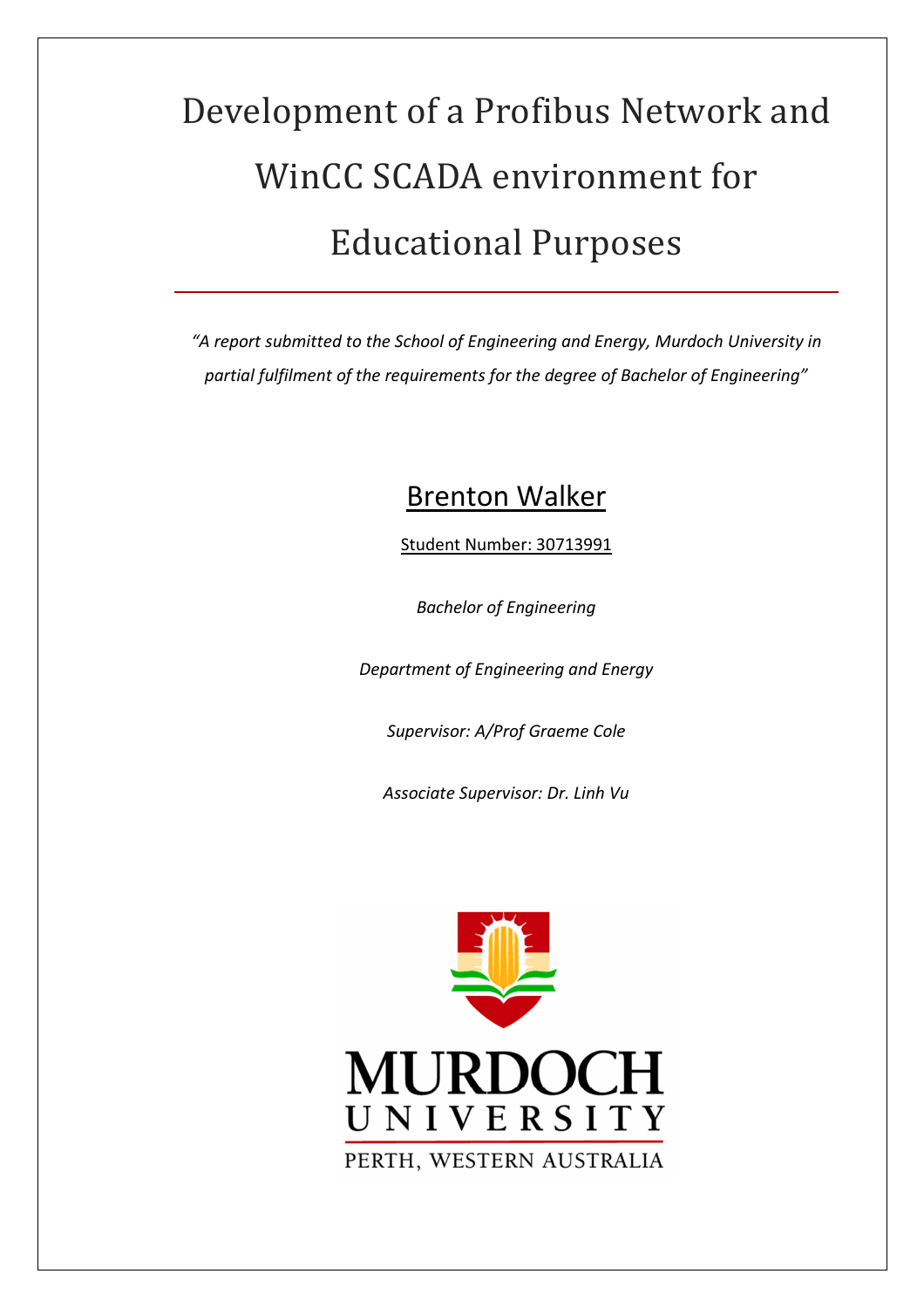# Development of a Profibus Network and WinCC SCADA environment for **Educational Purposes**

*"A report submitted to the School of Engineering and Energy, Murdoch University in partial fulfilment of the requirements for the degree of Bachelor of Engineering"* 

# Brenton Walker

Student Number: 30713991

*Bachelor of Engineering* 

*Department of Engineering and Energy* 

*Supervisor: A/Prof Graeme Cole* 

*Associate Supervisor: Dr. Linh Vu* 

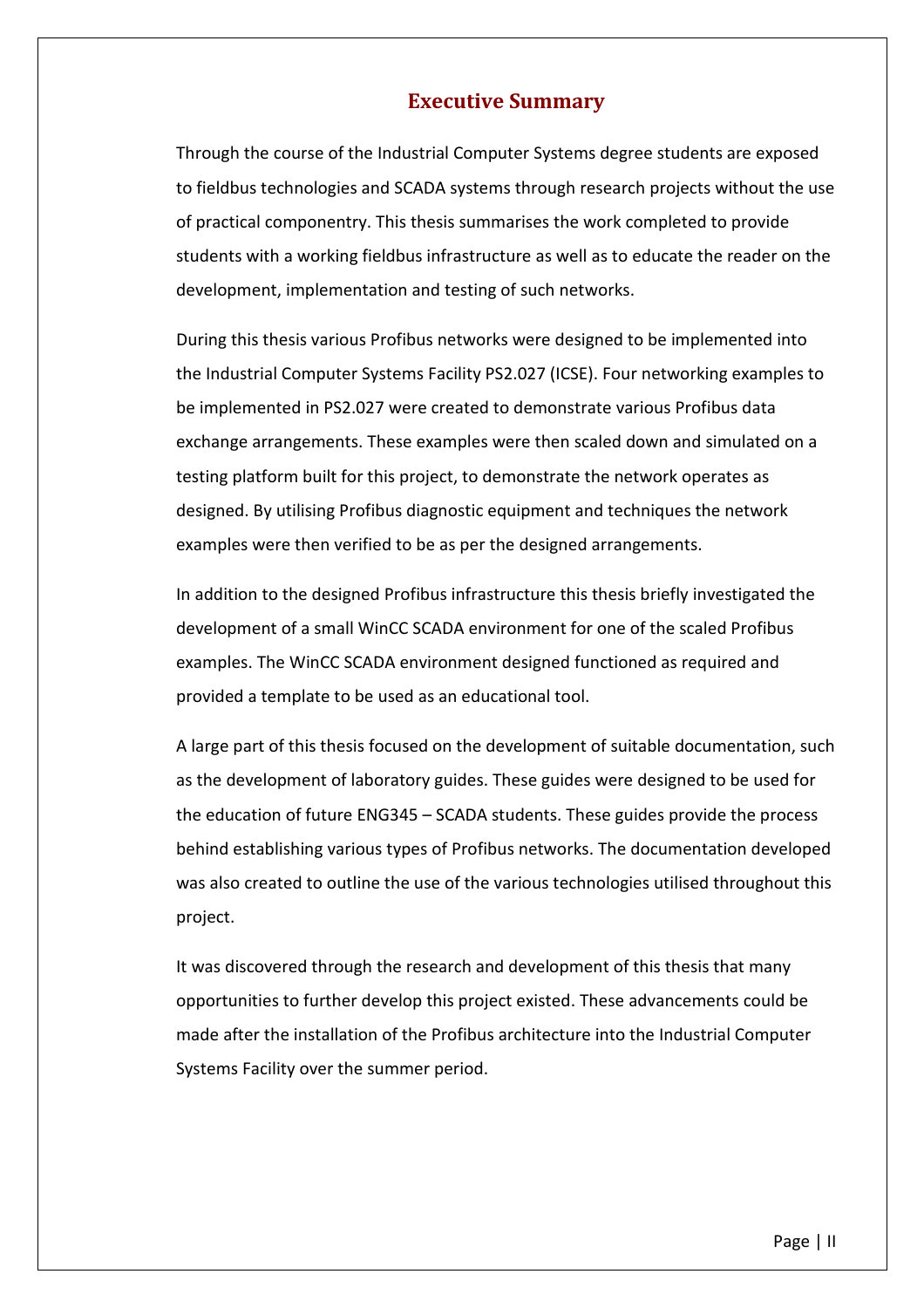#### **Executive Summary**

Through the course of the Industrial Computer Systems degree students are exposed to fieldbus technologies and SCADA systems through research projects without the use of practical componentry. This thesis summarises the work completed to provide students with a working fieldbus infrastructure as well as to educate the reader on the development, implementation and testing of such networks.

During this thesis various Profibus networks were designed to be implemented into the Industrial Computer Systems Facility PS2.027 (ICSE). Four networking examples to be implemented in PS2.027 were created to demonstrate various Profibus data exchange arrangements. These examples were then scaled down and simulated on a testing platform built for this project, to demonstrate the network operates as designed. By utilising Profibus diagnostic equipment and techniques the network examples were then verified to be as per the designed arrangements.

In addition to the designed Profibus infrastructure this thesis briefly investigated the development of a small WinCC SCADA environment for one of the scaled Profibus examples. The WinCC SCADA environment designed functioned as required and provided a template to be used as an educational tool.

A large part of this thesis focused on the development of suitable documentation, such as the development of laboratory guides. These guides were designed to be used for the education of future ENG345 – SCADA students. These guides provide the process behind establishing various types of Profibus networks. The documentation developed was also created to outline the use of the various technologies utilised throughout this project.

It was discovered through the research and development of this thesis that many opportunities to further develop this project existed. These advancements could be made after the installation of the Profibus architecture into the Industrial Computer Systems Facility over the summer period.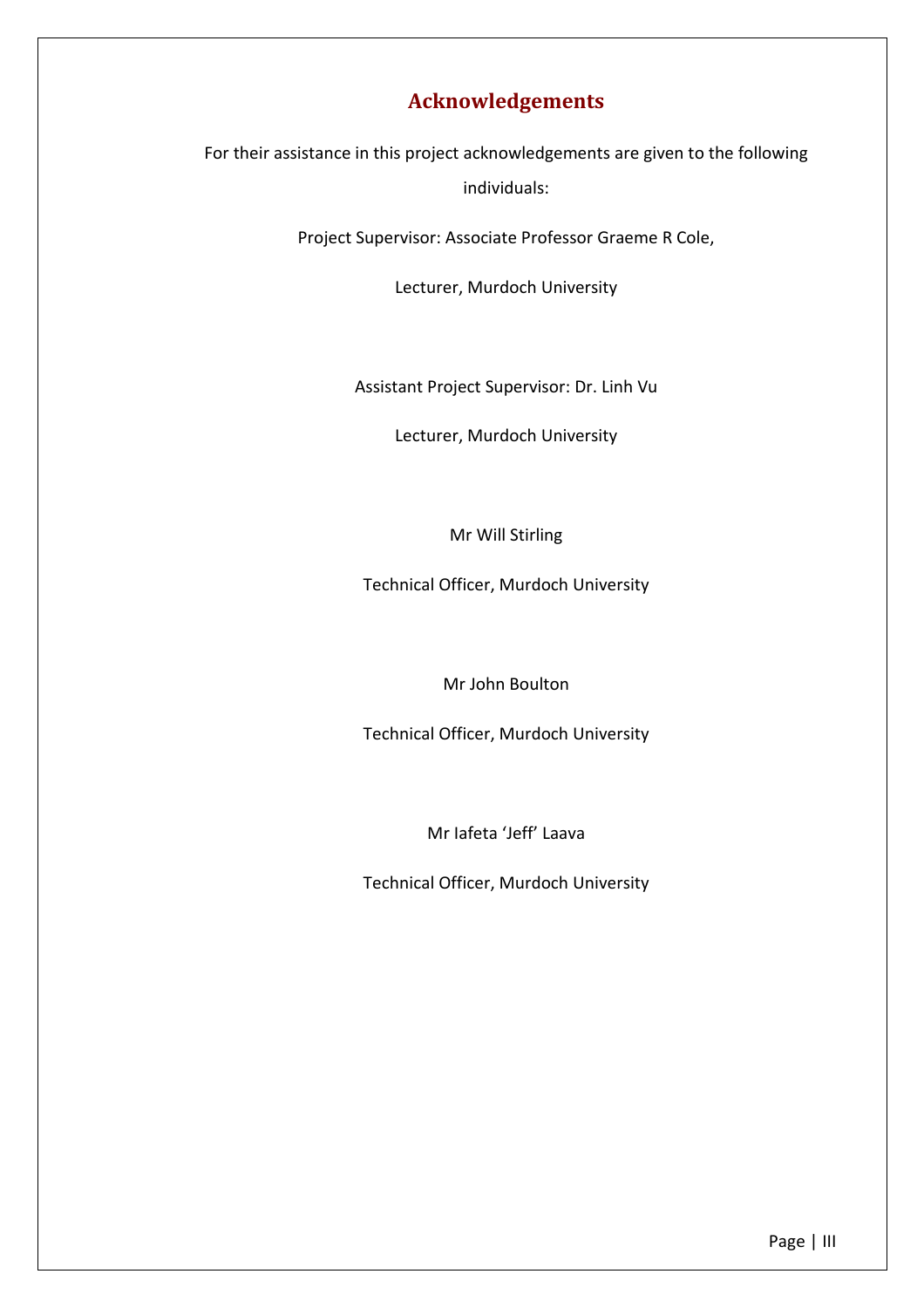# **Acknowledgements**

For their assistance in this project acknowledgements are given to the following individuals:

Project Supervisor: Associate Professor Graeme R Cole,

Lecturer, Murdoch University

Assistant Project Supervisor: Dr. Linh Vu

Lecturer, Murdoch University

#### Mr Will Stirling

Technical Officer, Murdoch University

Mr John Boulton

Technical Officer, Murdoch University

Mr Iafeta 'Jeff' Laava

Technical Officer, Murdoch University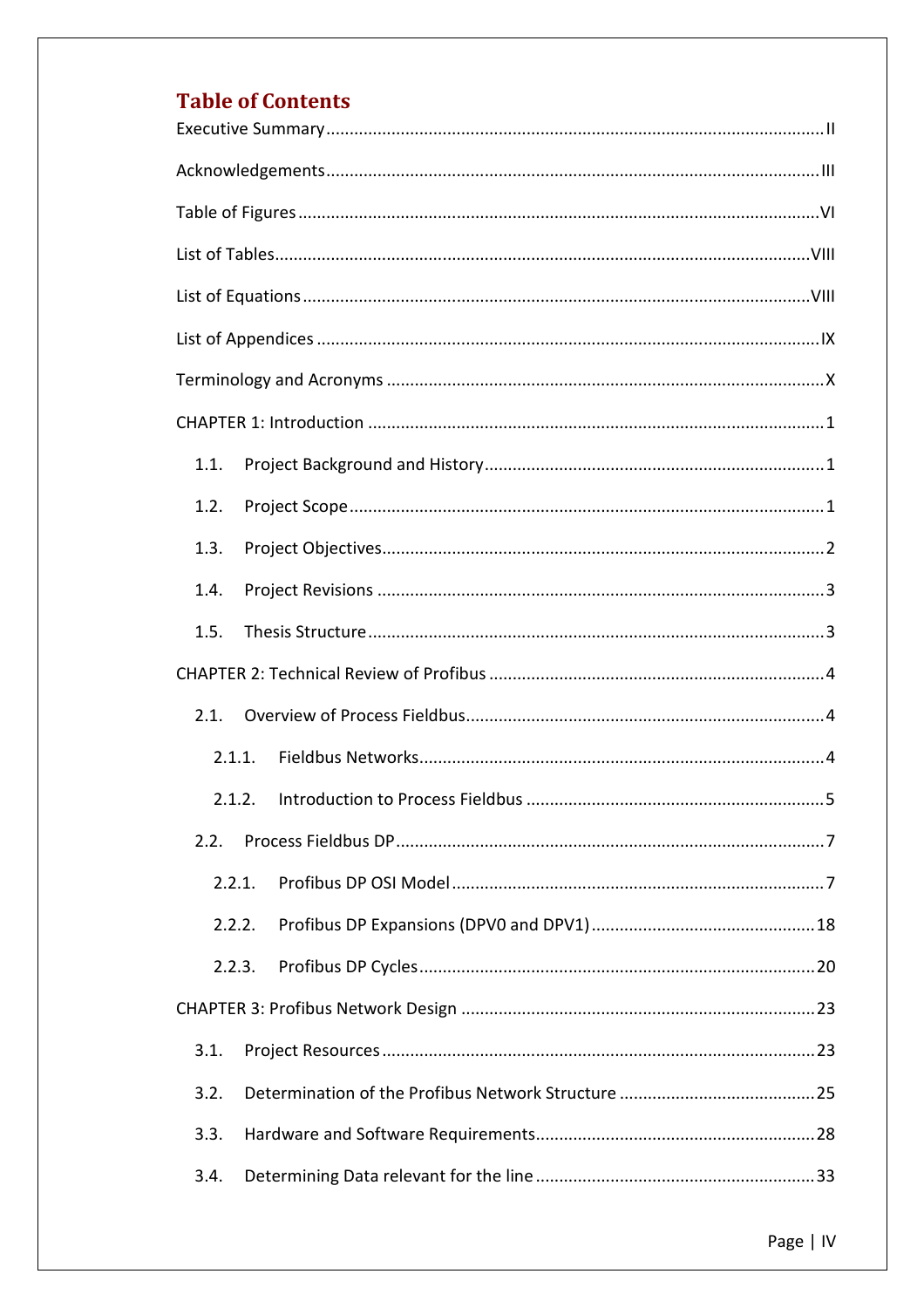# **Table of Contents**

| 1.1.   |
|--------|
| 1.2.   |
| 1.3.   |
| 1.4.   |
| 1.5.   |
|        |
| 2.1.   |
| 2.1.1. |
| 2.1.2. |
| 2.2.   |
| 2.2.1. |
| 2.2.2. |
| 2.2.3. |
|        |
| 3.1.   |
| 3.2.   |
| 3.3.   |
| 3.4.   |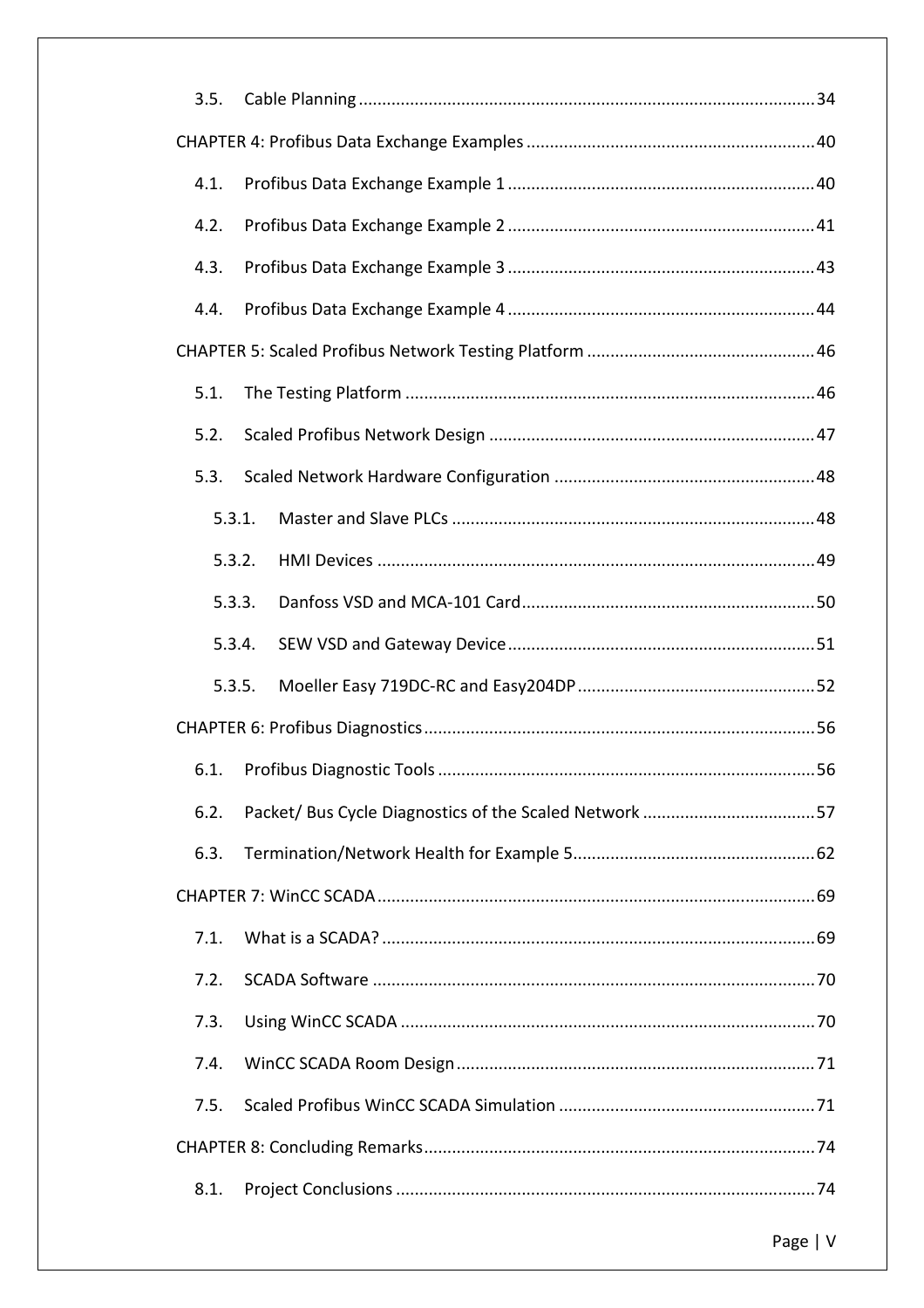| 3.5.   |
|--------|
|        |
| 4.1.   |
| 4.2.   |
| 4.3.   |
| 4.4.   |
|        |
| 5.1.   |
| 5.2.   |
| 5.3.   |
| 5.3.1. |
| 5.3.2. |
| 5.3.3. |
| 5.3.4. |
| 5.3.5. |
|        |
|        |
| 6.2.   |
| 6.3.   |
|        |
| 7.1.   |
| 7.2.   |
| 7.3.   |
| 7.4.   |
| 7.5.   |
|        |
| 8.1.   |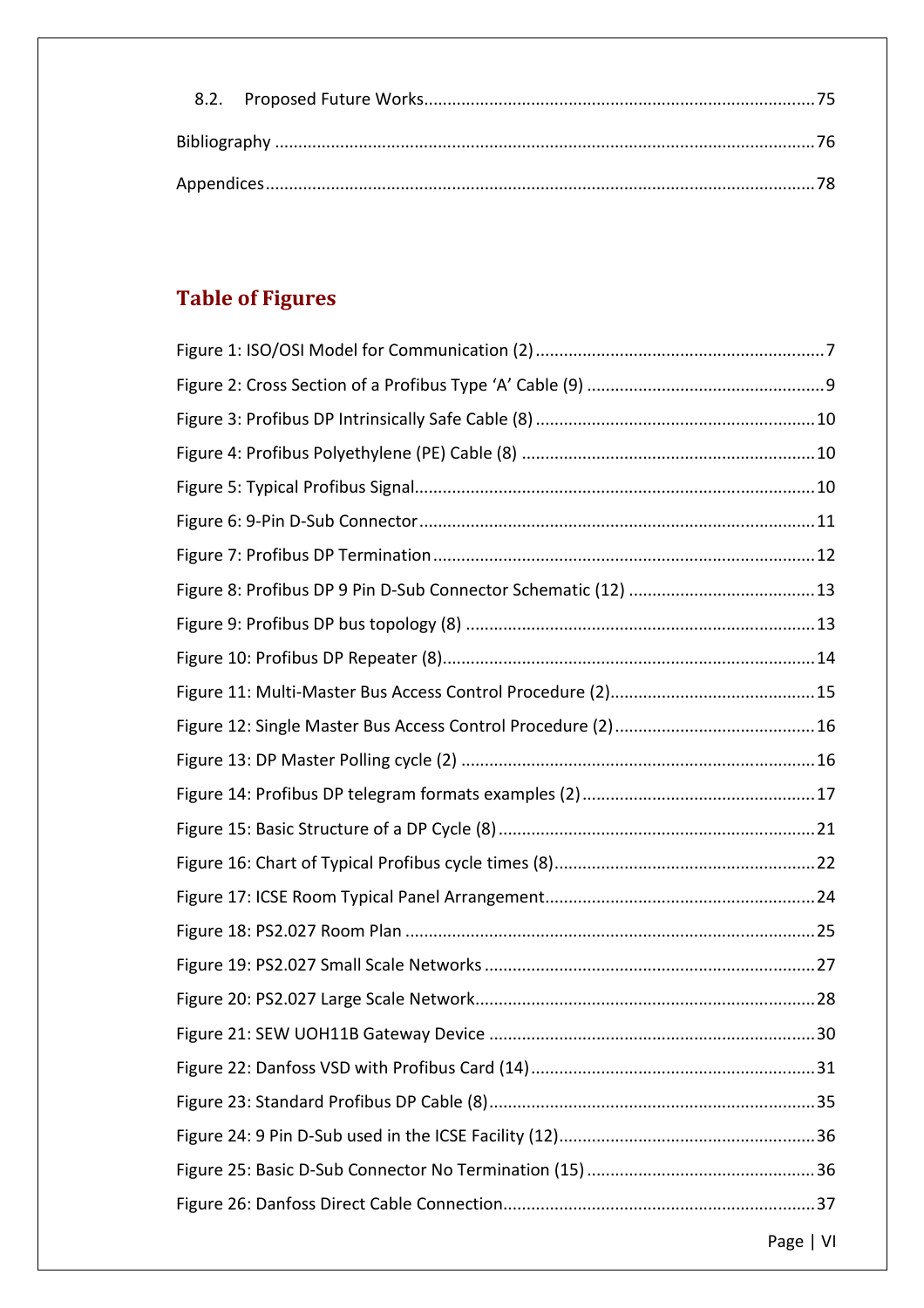# **Table of Figures**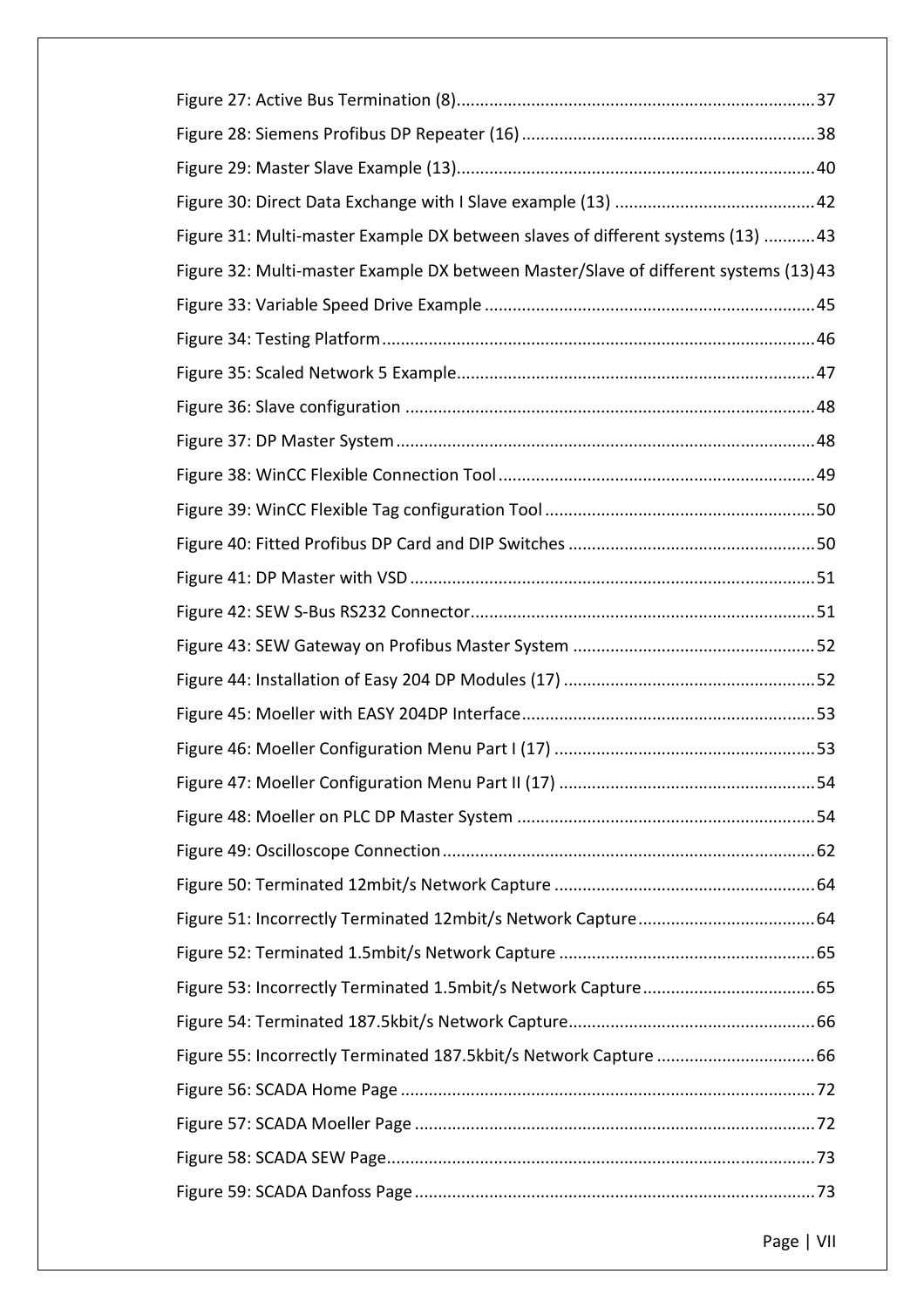| Figure 31: Multi-master Example DX between slaves of different systems (13)  43     |
|-------------------------------------------------------------------------------------|
| Figure 32: Multi-master Example DX between Master/Slave of different systems (13)43 |
|                                                                                     |
|                                                                                     |
|                                                                                     |
|                                                                                     |
|                                                                                     |
|                                                                                     |
|                                                                                     |
|                                                                                     |
|                                                                                     |
|                                                                                     |
|                                                                                     |
|                                                                                     |
|                                                                                     |
|                                                                                     |
|                                                                                     |
|                                                                                     |
|                                                                                     |
|                                                                                     |
|                                                                                     |
|                                                                                     |
|                                                                                     |
|                                                                                     |
|                                                                                     |
|                                                                                     |
|                                                                                     |
|                                                                                     |
|                                                                                     |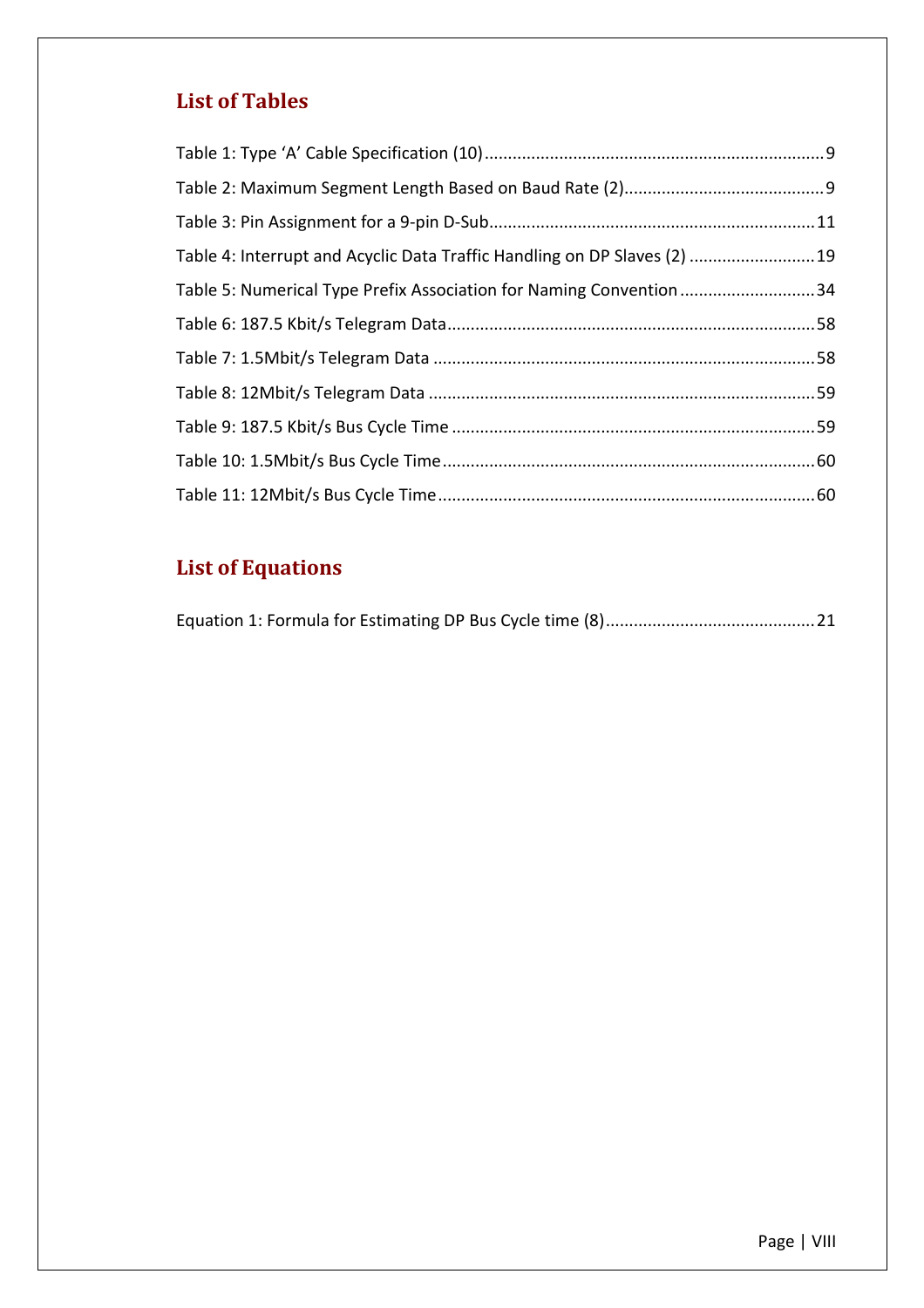#### **List of Tables**

| Table 4: Interrupt and Acyclic Data Traffic Handling on DP Slaves (2)  19 |  |
|---------------------------------------------------------------------------|--|
| Table 5: Numerical Type Prefix Association for Naming Convention 34       |  |
|                                                                           |  |
|                                                                           |  |
|                                                                           |  |
|                                                                           |  |
|                                                                           |  |
|                                                                           |  |

# **List of Equations**

|--|--|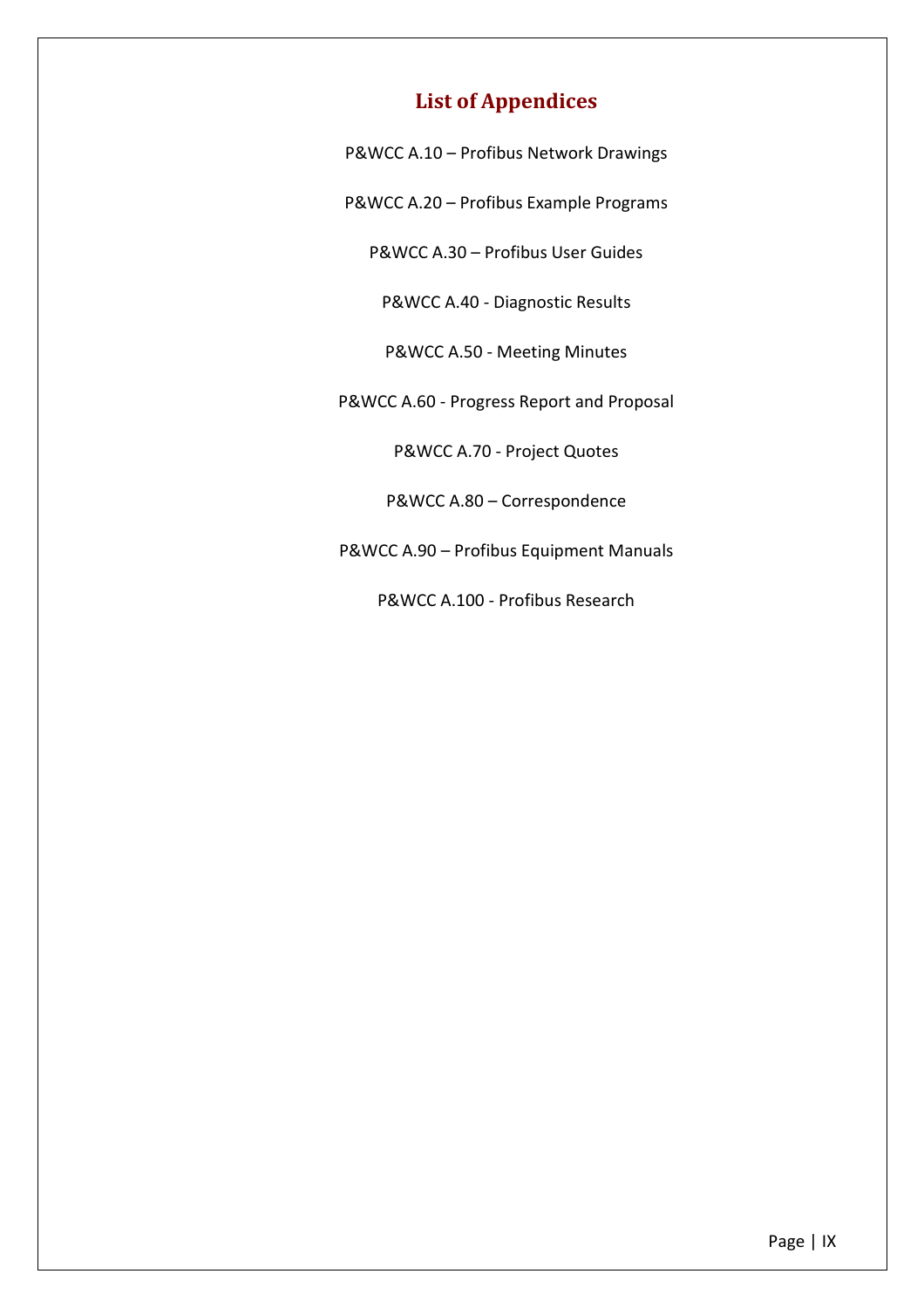# **List of Appendices**

P&WCC A.10 – Profibus Network Drawings

P&WCC A.20 – Profibus Example Programs

P&WCC A.30 – Profibus User Guides

P&WCC A.40 - Diagnostic Results

P&WCC A.50 - Meeting Minutes

P&WCC A.60 - Progress Report and Proposal

P&WCC A.70 - Project Quotes

P&WCC A.80 – Correspondence

P&WCC A.90 – Profibus Equipment Manuals

P&WCC A.100 - Profibus Research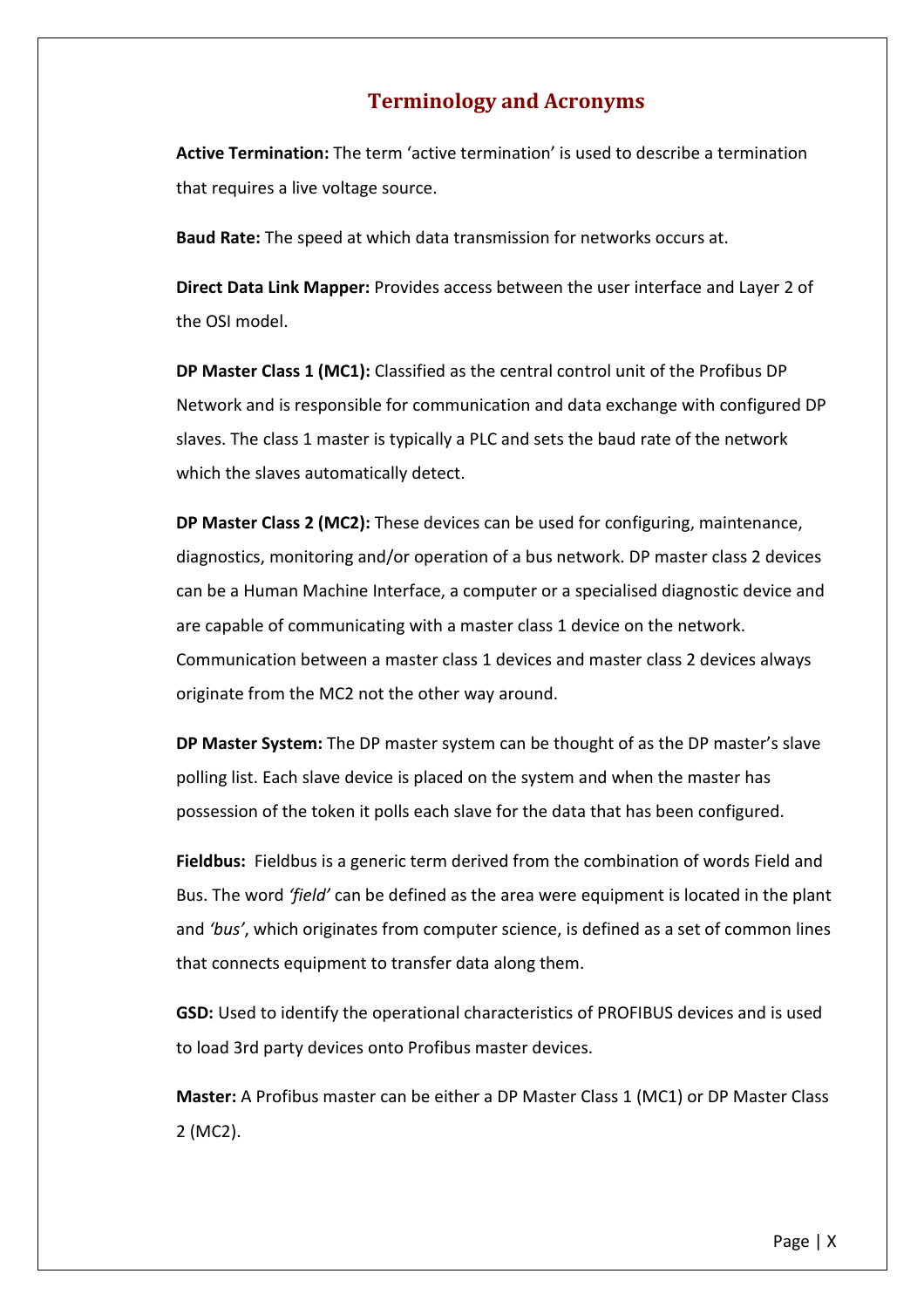# **Terminology and Acronyms**

**Active Termination:** The term 'active termination' is used to describe a termination that requires a live voltage source.

**Baud Rate:** The speed at which data transmission for networks occurs at.

**Direct Data Link Mapper:** Provides access between the user interface and Layer 2 of the OSI model.

**DP Master Class 1 (MC1):** Classified as the central control unit of the Profibus DP Network and is responsible for communication and data exchange with configured DP slaves. The class 1 master is typically a PLC and sets the baud rate of the network which the slaves automatically detect.

**DP Master Class 2 (MC2):** These devices can be used for configuring, maintenance, diagnostics, monitoring and/or operation of a bus network. DP master class 2 devices can be a Human Machine Interface, a computer or a specialised diagnostic device and are capable of communicating with a master class 1 device on the network. Communication between a master class 1 devices and master class 2 devices always originate from the MC2 not the other way around.

**DP Master System:** The DP master system can be thought of as the DP master's slave polling list. Each slave device is placed on the system and when the master has possession of the token it polls each slave for the data that has been configured.

**Fieldbus:** Fieldbus is a generic term derived from the combination of words Field and Bus. The word *'field'* can be defined as the area were equipment is located in the plant and *'bus'*, which originates from computer science, is defined as a set of common lines that connects equipment to transfer data along them.

**GSD:** Used to identify the operational characteristics of PROFIBUS devices and is used to load 3rd party devices onto Profibus master devices.

**Master:** A Profibus master can be either a DP Master Class 1 (MC1) or DP Master Class 2 (MC2).